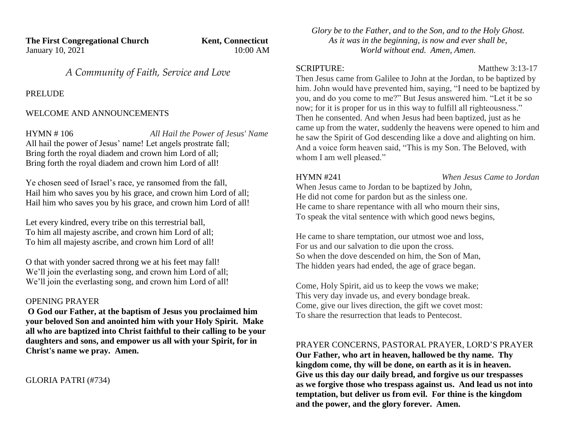**The First Congregational Church Kent, Connecticut** January 10, 2021 10:00 AM

*A Community of Faith, Service and Love*

### PRELUDE

# WELCOME AND ANNOUNCEMENTS

HYMN # 106 *All Hail the Power of Jesus' Name* All hail the power of Jesus' name! Let angels prostrate fall; Bring forth the royal diadem and crown him Lord of all; Bring forth the royal diadem and crown him Lord of all!

Ye chosen seed of Israel's race, ye ransomed from the fall, Hail him who saves you by his grace, and crown him Lord of all; Hail him who saves you by his grace, and crown him Lord of all!

Let every kindred, every tribe on this terrestrial ball, To him all majesty ascribe, and crown him Lord of all; To him all majesty ascribe, and crown him Lord of all!

O that with yonder sacred throng we at his feet may fall! We'll join the everlasting song, and crown him Lord of all; We'll join the everlasting song, and crown him Lord of all!

## OPENING PRAYER

**O God our Father, at the baptism of Jesus you proclaimed him your beloved Son and anointed him with your Holy Spirit. Make all who are baptized into Christ faithful to their calling to be your daughters and sons, and empower us all with your Spirit, for in Christ's name we pray. Amen.**

GLORIA PATRI (#734)

*Glory be to the Father, and to the Son, and to the Holy Ghost. As it was in the beginning, is now and ever shall be, World without end. Amen, Amen.*

SCRIPTURE: Matthew 3:13-17

Then Jesus came from Galilee to John at the Jordan, to be baptized by him. John would have prevented him, saying, "I need to be baptized by you, and do you come to me?" But Jesus answered him. "Let it be so now; for it is proper for us in this way to fulfill all righteousness." Then he consented. And when Jesus had been baptized, just as he came up from the water, suddenly the heavens were opened to him and he saw the Spirit of God descending like a dove and alighting on him. And a voice form heaven said, "This is my Son. The Beloved, with whom I am well pleased."

HYMN #241 *When Jesus Came to Jordan*

When Jesus came to Jordan to be baptized by John, He did not come for pardon but as the sinless one. He came to share repentance with all who mourn their sins, To speak the vital sentence with which good news begins,

He came to share temptation, our utmost woe and loss, For us and our salvation to die upon the cross. So when the dove descended on him, the Son of Man, The hidden years had ended, the age of grace began.

Come, Holy Spirit, aid us to keep the vows we make; This very day invade us, and every bondage break. Come, give our lives direction, the gift we covet most: To share the resurrection that leads to Pentecost.

PRAYER CONCERNS, PASTORAL PRAYER, LORD'S PRAYER **Our Father, who art in heaven, hallowed be thy name. Thy kingdom come, thy will be done, on earth as it is in heaven. Give us this day our daily bread, and forgive us our trespasses as we forgive those who trespass against us. And lead us not into temptation, but deliver us from evil. For thine is the kingdom and the power, and the glory forever. Amen.**